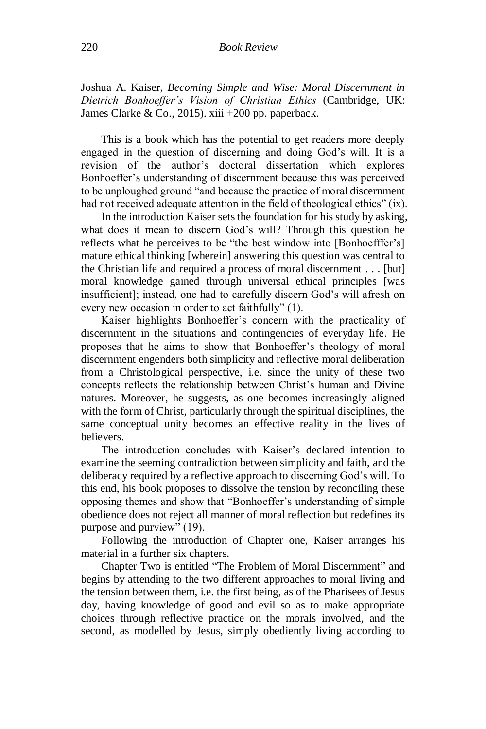Joshua A. Kaiser, *Becoming Simple and Wise: Moral Discernment in Dietrich Bonhoeffer's Vision of Christian Ethics* (Cambridge, UK: James Clarke & Co., 2015). xiii +200 pp. paperback.

This is a book which has the potential to get readers more deeply engaged in the question of discerning and doing God's will. It is a revision of the author's doctoral dissertation which explores Bonhoeffer's understanding of discernment because this was perceived to be unploughed ground "and because the practice of moral discernment had not received adequate attention in the field of theological ethics" (ix).

In the introduction Kaiser sets the foundation for his study by asking, what does it mean to discern God's will? Through this question he reflects what he perceives to be "the best window into [Bonhoefffer's] mature ethical thinking [wherein] answering this question was central to the Christian life and required a process of moral discernment . . . [but] moral knowledge gained through universal ethical principles [was insufficient]; instead, one had to carefully discern God's will afresh on every new occasion in order to act faithfully" (1).

Kaiser highlights Bonhoeffer's concern with the practicality of discernment in the situations and contingencies of everyday life. He proposes that he aims to show that Bonhoeffer's theology of moral discernment engenders both simplicity and reflective moral deliberation from a Christological perspective, i.e. since the unity of these two concepts reflects the relationship between Christ's human and Divine natures. Moreover, he suggests, as one becomes increasingly aligned with the form of Christ, particularly through the spiritual disciplines, the same conceptual unity becomes an effective reality in the lives of believers.

The introduction concludes with Kaiser's declared intention to examine the seeming contradiction between simplicity and faith, and the deliberacy required by a reflective approach to discerning God's will. To this end, his book proposes to dissolve the tension by reconciling these opposing themes and show that "Bonhoeffer's understanding of simple obedience does not reject all manner of moral reflection but redefines its purpose and purview" (19).

Following the introduction of Chapter one, Kaiser arranges his material in a further six chapters.

Chapter Two is entitled "The Problem of Moral Discernment" and begins by attending to the two different approaches to moral living and the tension between them, i.e. the first being, as of the Pharisees of Jesus day, having knowledge of good and evil so as to make appropriate choices through reflective practice on the morals involved, and the second, as modelled by Jesus, simply obediently living according to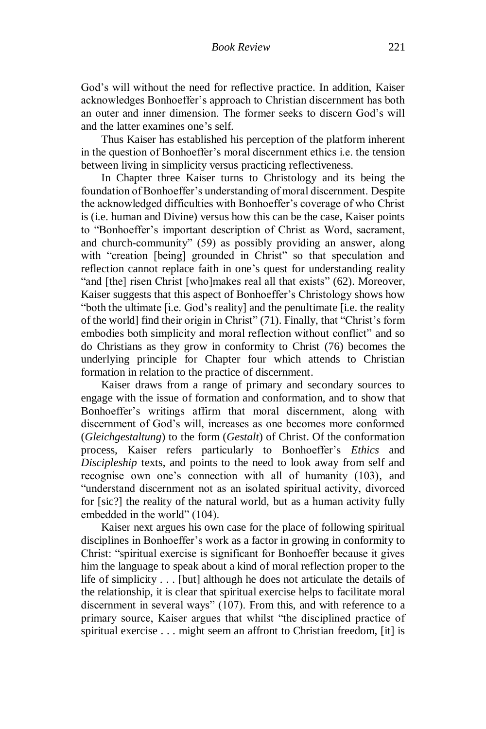God's will without the need for reflective practice. In addition, Kaiser acknowledges Bonhoeffer's approach to Christian discernment has both an outer and inner dimension. The former seeks to discern God's will and the latter examines one's self.

Thus Kaiser has established his perception of the platform inherent in the question of Bonhoeffer's moral discernment ethics i.e. the tension between living in simplicity versus practicing reflectiveness.

In Chapter three Kaiser turns to Christology and its being the foundation of Bonhoeffer's understanding of moral discernment. Despite the acknowledged difficulties with Bonhoeffer's coverage of who Christ is (i.e. human and Divine) versus how this can be the case, Kaiser points to "Bonhoeffer's important description of Christ as Word, sacrament, and church-community" (59) as possibly providing an answer, along with "creation [being] grounded in Christ" so that speculation and reflection cannot replace faith in one's quest for understanding reality "and [the] risen Christ [who]makes real all that exists" (62). Moreover, Kaiser suggests that this aspect of Bonhoeffer's Christology shows how "both the ultimate [i.e. God's reality] and the penultimate [i.e. the reality of the world] find their origin in Christ" (71). Finally, that "Christ's form embodies both simplicity and moral reflection without conflict" and so do Christians as they grow in conformity to Christ (76) becomes the underlying principle for Chapter four which attends to Christian formation in relation to the practice of discernment.

Kaiser draws from a range of primary and secondary sources to engage with the issue of formation and conformation, and to show that Bonhoeffer's writings affirm that moral discernment, along with discernment of God's will, increases as one becomes more conformed (*Gleichgestaltung*) to the form (*Gestalt*) of Christ. Of the conformation process, Kaiser refers particularly to Bonhoeffer's *Ethics* and *Discipleship* texts, and points to the need to look away from self and recognise own one's connection with all of humanity (103), and "understand discernment not as an isolated spiritual activity, divorced for [sic?] the reality of the natural world, but as a human activity fully embedded in the world" (104).

Kaiser next argues his own case for the place of following spiritual disciplines in Bonhoeffer's work as a factor in growing in conformity to Christ: "spiritual exercise is significant for Bonhoeffer because it gives him the language to speak about a kind of moral reflection proper to the life of simplicity . . . [but] although he does not articulate the details of the relationship, it is clear that spiritual exercise helps to facilitate moral discernment in several ways" (107). From this, and with reference to a primary source, Kaiser argues that whilst "the disciplined practice of spiritual exercise . . . might seem an affront to Christian freedom, [it] is